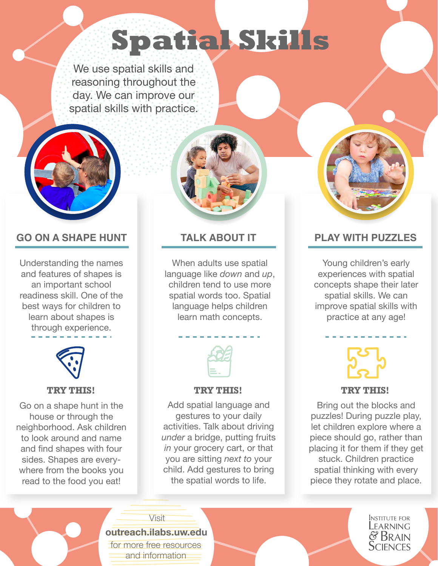# **Spatial Skills**

We use spatial skills and reasoning throughout the day. We can improve our spatial skills with practice.



## **GO ON A SHAPE HUNT TALK ABOUT IT PLAY WITH PUZZLES**

Understanding the names and features of shapes is an important school readiness skill. One of the best ways for children to learn about shapes is through experience.



## **TRY THIS! TRY THIS!** TRY THIS! TRY THIS!

Go on a shape hunt in the house or through the neighborhood. Ask children to look around and name and find shapes with four sides. Shapes are everywhere from the books you read to the food you eat!

When adults use spatial language like *down* and *up*, children tend to use more spatial words too. Spatial language helps children learn math concepts.



Add spatial language and gestures to your daily activities. Talk about driving *under* a bridge, putting fruits *in* your grocery cart, or that you are sitting *next to* your child. Add gestures to bring the spatial words to life.

Young children's early experiences with spatial concepts shape their later spatial skills. We can improve spatial skills with practice at any age!



Bring out the blocks and puzzles! During puzzle play, let children explore where a piece should go, rather than placing it for them if they get stuck. Children practice spatial thinking with every piece they rotate and place.

> **INSTITUTE FOR** Learning  $\mathscr{C}% _{k}(G)$  Brain **SCIENCES**

**outreach.ilabs.uw.edu** Visit

for more free resources and information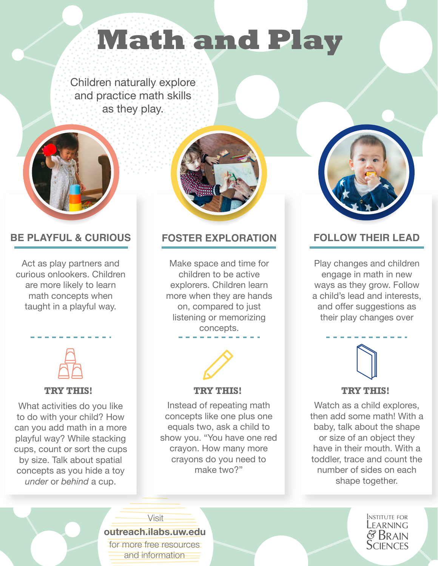## **Math and Play**

Children naturally explore and practice math skills as they play.



## **BE PLAYFUL & CURIOUS FOSTER EXPLORATION FOLLOW THEIR LEAD**

Act as play partners and curious onlookers. Children are more likely to learn math concepts when taught in a playful way.



What activities do you like to do with your child? How can you add math in a more playful way? While stacking cups, count or sort the cups by size. Talk about spatial concepts as you hide a toy *under* or *behind* a cup.

Make space and time for children to be active explorers. Children learn more when they are hands on, compared to just listening or memorizing concepts.



TRY THIS! TRY THIS! TRY THIS!

Instead of repeating math concepts like one plus one equals two, ask a child to show you. "You have one red crayon. How many more crayons do you need to make two?"



Play changes and children engage in math in new ways as they grow. Follow a child's lead and interests, and offer suggestions as their play changes over

Watch as a child explores. then add some math! With a baby, talk about the shape or size of an object they have in their mouth. With a toddler, trace and count the number of sides on each shape together.

> **INSTITUTE FOR** LEARNING  $\operatorname{\mathscr{C}}$  Brain **SCIENCES**

## **outreach.ilabs.uw.edu**

Visit

for more free resources and information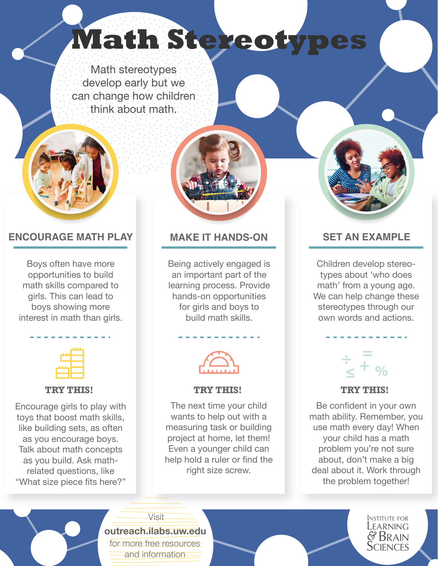## **Math Stereotypes**

Math stereotypes develop early but we can change how children think about math.



## **ENCOURAGE MATH PLAY MAKE IT HANDS-ON SET AN EXAMPLE**

Boys often have more opportunities to build math skills compared to girls. This can lead to boys showing more interest in math than girls.

|                       | . |
|-----------------------|---|
| i A<br>$\blacksquare$ |   |
|                       |   |
| <u>.</u>              |   |
|                       |   |
|                       |   |

Encourage girls to play with toys that boost math skills, like building sets, as often as you encourage boys. Talk about math concepts as you build. Ask mathrelated questions, like "What size piece fits here?"

Being actively engaged is an important part of the learning process. Provide hands-on opportunities for girls and boys to build math skills.



## **TRY THIS!** TRY THIS! **TRY THIS!** TRY THIS!

The next time your child wants to help out with a measuring task or building project at home, let them! Even a younger child can help hold a ruler or find the right size screw.

Children develop stereotypes about 'who does math' from a young age. We can help change these stereotypes through our own words and actions.



Be confident in your own math ability. Remember, you use math every day! When your child has a math problem you're not sure about, don't make a big deal about it. Work through the problem together!

> **INSTITUTE FOR** LEARNING  $\mathscr{C}% _{k}(G)$  Brain **SCIENCES**

for more free resources and information **outreach.ilabs.uw.edu**

**Visit**